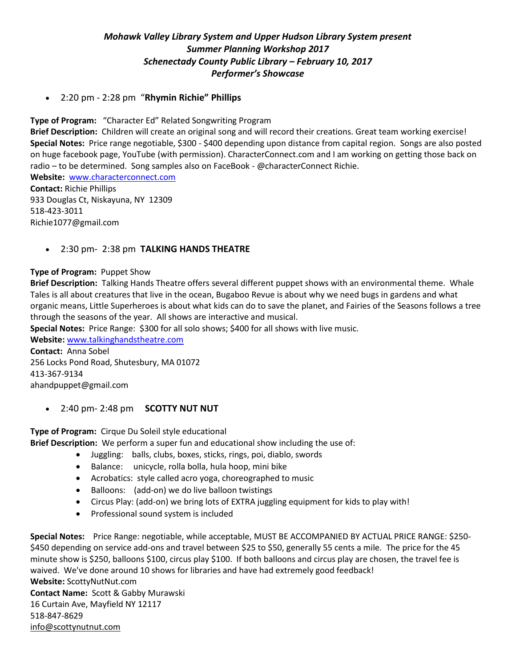## *Mohawk Valley Library System and Upper Hudson Library System present Summer Planning Workshop 2017 Schenectady County Public Library – February 10, 2017 Performer's Showcase*

2:20 pm - 2:28 pm "**Rhymin Richie" Phillips**

 **Type of Program:** "Character Ed" Related Songwriting Program

**Brief Description:** Children will create an original song and will record their creations. Great team working exercise! **Special Notes:** Price range negotiable, \$300 - \$400 depending upon distance from capital region. Songs are also posted on huge facebook page, YouTube (with permission). CharacterConnect.com and I am working on getting those back on radio – to be determined. Song samples also on FaceBook - @characterConnect Richie.

**Website:** [www.characterconnect.com](http://www.characterconnect.com/) **Contact:** Richie Phillips 933 Douglas Ct, Niskayuna, NY 12309 518-423-3011 [Richie1077@gmail.com](mailto:Richie1077@gmail.com)

## 2:30 pm- 2:38 pm **TALKING HANDS THEATRE**

## **Type of Program:** Puppet Show

 **Brief Description:** Talking Hands Theatre offers several different puppet shows with an environmental theme. Whale Tales is all about creatures that live in the ocean, Bugaboo Revue is about why we need bugs in gardens and what organic means, Little Superheroes is about what kids can do to save the planet, and Fairies of the Seasons follows a tree through the seasons of the year. All shows are interactive and musical.

**Special Notes:** Price Range: \$300 for all solo shows; \$400 for all shows with live music.

**Website:** [www.talkinghandstheatre.com](http://www.talkinghandstheatre.com/)

**Contact:** Anna Sobel 256 Locks Pond Road, Shutesbury, MA 01072 413-367-9134 ahandpuppet@gmail.com

2:40 pm- 2:48 pm **SCOTTY NUT NUT**

**Type of Program:** Cirque Du Soleil style educational **Brief Description:** We perform a super fun and educational show including the use of:

- Juggling: balls, clubs, boxes, sticks, rings, poi, diablo, swords
- Balance: unicycle, rolla bolla, hula hoop, mini bike
- Acrobatics: style called acro yoga, choreographed to music
- Balloons: (add-on) we do live balloon twistings
- Circus Play: (add-on) we bring lots of EXTRA juggling equipment for kids to play with!
- Professional sound system is included

**Special Notes:** Price Range: negotiable, while acceptable, MUST BE ACCOMPANIED BY ACTUAL PRICE RANGE: \$250- \$450 depending on service add-ons and travel between \$25 to \$50, generally 55 cents a mile. The price for the 45 minute show is \$250, balloons \$100, circus play \$100. If both balloons and circus play are chosen, the travel fee is waived. We've done around 10 shows for libraries and have had extremely good feedback! **Website:** ScottyNutNut.com **Contact Name:** Scott & Gabby Murawski

16 Curtain Ave, Mayfield NY 12117 518-847-8629 [info@scottynutnut.com](mailto:info@scottynutnut.com)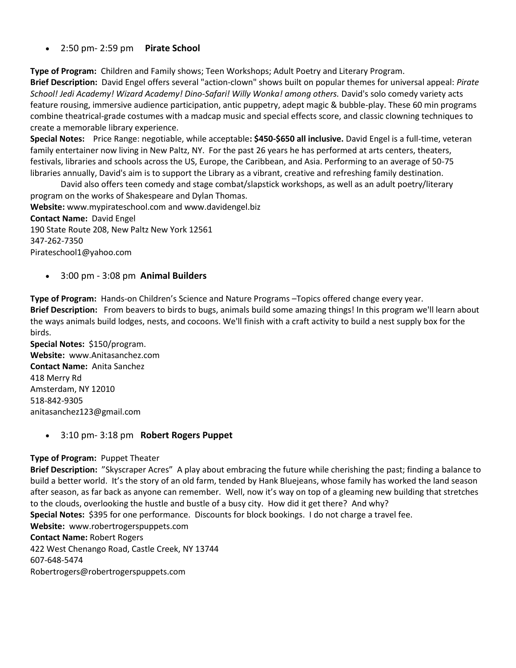2:50 pm- 2:59 pm **Pirate School**

**Type of Program:** Children and Family shows; Teen Workshops; Adult Poetry and Literary Program.

**Brief Description:** David Engel offers several "action-clown" shows built on popular themes for universal appeal: *Pirate School! Jedi Academy! Wizard Academy! Dino-Safari! Willy Wonka! among others.* David's solo comedy variety acts feature rousing, immersive audience participation, antic puppetry, adept magic & bubble-play. These 60 min programs combine theatrical-grade costumes with a madcap music and special effects score, and classic clowning techniques to create a memorable library experience.

**Special Notes:** Price Range: negotiable, while acceptable**: \$450-\$650 all inclusive.** David Engel is a full-time, veteran family entertainer now living in New Paltz, NY. For the past 26 years he has performed at arts centers, theaters, festivals, libraries and schools across the US, Europe, the Caribbean, and Asia. Performing to an average of 50-75 libraries annually, David's aim is to support the Library as a vibrant, creative and refreshing family destination.

David also offers teen comedy and stage combat/slapstick workshops, as well as an adult poetry/literary program on the works of Shakespeare and Dylan Thomas. **Website:** [www.mypirateschool.com](http://www.mypirateschool.com/) an[d www.davidengel.biz](http://www.davidengel.biz/) **Contact Name:** David Engel 190 State Route 208, New Paltz New York 12561

347-262-7350 [Pirateschool1@yahoo.com](mailto:Pirateschool1@yahoo.com)

3:00 pm - 3:08 pm **Animal Builders**

**Type of Program:** Hands-on Children's Science and Nature Programs –Topics offered change every year. **Brief Description:** From beavers to birds to bugs, animals build some amazing things! In this program we'll learn about the ways animals build lodges, nests, and cocoons. We'll finish with a craft activity to build a nest supply box for the birds.

**Special Notes:** \$150/program. **Website:** [www.Anitasanchez.com](http://www.anitasanchez.com/) **Contact Name:** Anita Sanchez 418 Merry Rd Amsterdam, NY 12010 518-842-9305 [anitasanchez123@gmail.com](mailto:anitasanchez123@gmail.com)

3:10 pm- 3:18 pm **Robert Rogers Puppet**

## **Type of Program:** Puppet Theater

**Brief Description:** "Skyscraper Acres" A play about embracing the future while cherishing the past; finding a balance to build a better world. It's the story of an old farm, tended by Hank Bluejeans, whose family has worked the land season after season, as far back as anyone can remember. Well, now it's way on top of a gleaming new building that stretches to the clouds, overlooking the hustle and bustle of a busy city. How did it get there? And why? **Special Notes:** \$395 for one performance. Discounts for block bookings. I do not charge a travel fee. **Website:** [www.robertrogerspuppets.com](http://www.robertrogerspuppets.com/) **Contact Name:** Robert Rogers 422 West Chenango Road, Castle Creek, NY 13744 607-648-5474 Robertrogers@robertrogerspuppets.com